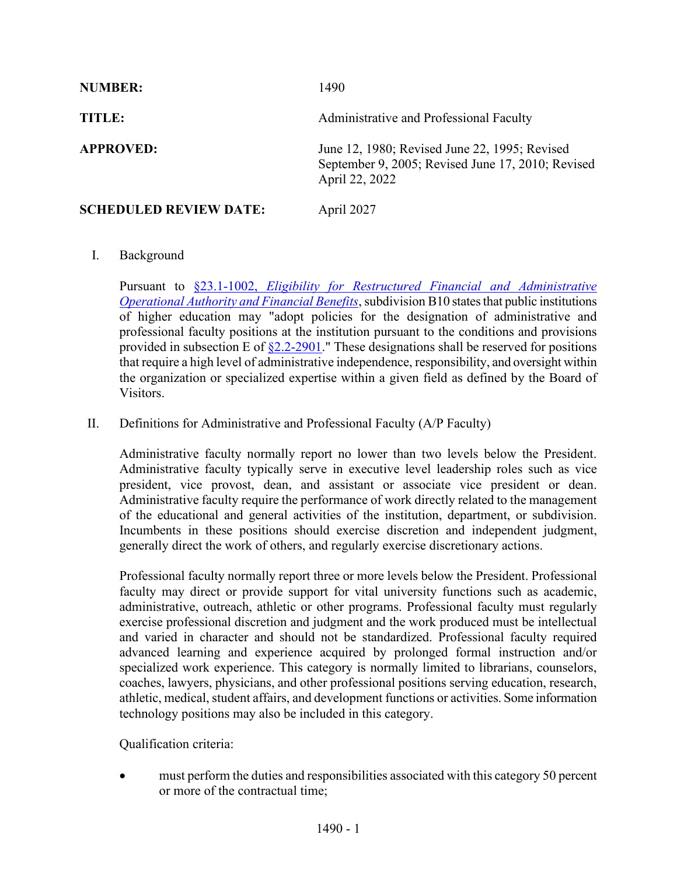| <b>NUMBER:</b>                | 1490                                                                                                                 |
|-------------------------------|----------------------------------------------------------------------------------------------------------------------|
| TITLE:                        | Administrative and Professional Faculty                                                                              |
| <b>APPROVED:</b>              | June 12, 1980; Revised June 22, 1995; Revised<br>September 9, 2005; Revised June 17, 2010; Revised<br>April 22, 2022 |
| <b>SCHEDULED REVIEW DATE:</b> | April 2027                                                                                                           |

## I. Background

Pursuant to §23.1-1002, *[Eligibility for Restructured Financial and Administrative](https://law.lis.virginia.gov/vacode/23.1-1002/)  Operational Authority [and Financial Benefits](https://law.lis.virginia.gov/vacode/23.1-1002/)*, subdivision B10 states that public institutions of higher education may "adopt policies for the designation of administrative and professional faculty positions at the institution pursuant to the conditions and provisions provided in subsection E of  $\S2.2$ -2901." These designations shall be reserved for positions that require a high level of administrative independence, responsibility, and oversight within the organization or specialized expertise within a given field as defined by the Board of Visitors.

II. Definitions for Administrative and Professional Faculty (A/P Faculty)

Administrative faculty normally report no lower than two levels below the President. Administrative faculty typically serve in executive level leadership roles such as vice president, vice provost, dean, and assistant or associate vice president or dean. Administrative faculty require the performance of work directly related to the management of the educational and general activities of the institution, department, or subdivision. Incumbents in these positions should exercise discretion and independent judgment, generally direct the work of others, and regularly exercise discretionary actions.

Professional faculty normally report three or more levels below the President. Professional faculty may direct or provide support for vital university functions such as academic, administrative, outreach, athletic or other programs. Professional faculty must regularly exercise professional discretion and judgment and the work produced must be intellectual and varied in character and should not be standardized. Professional faculty required advanced learning and experience acquired by prolonged formal instruction and/or specialized work experience. This category is normally limited to librarians, counselors, coaches, lawyers, physicians, and other professional positions serving education, research, athletic, medical, student affairs, and development functions or activities. Some information technology positions may also be included in this category.

Qualification criteria:

• must perform the duties and responsibilities associated with this category 50 percent or more of the contractual time;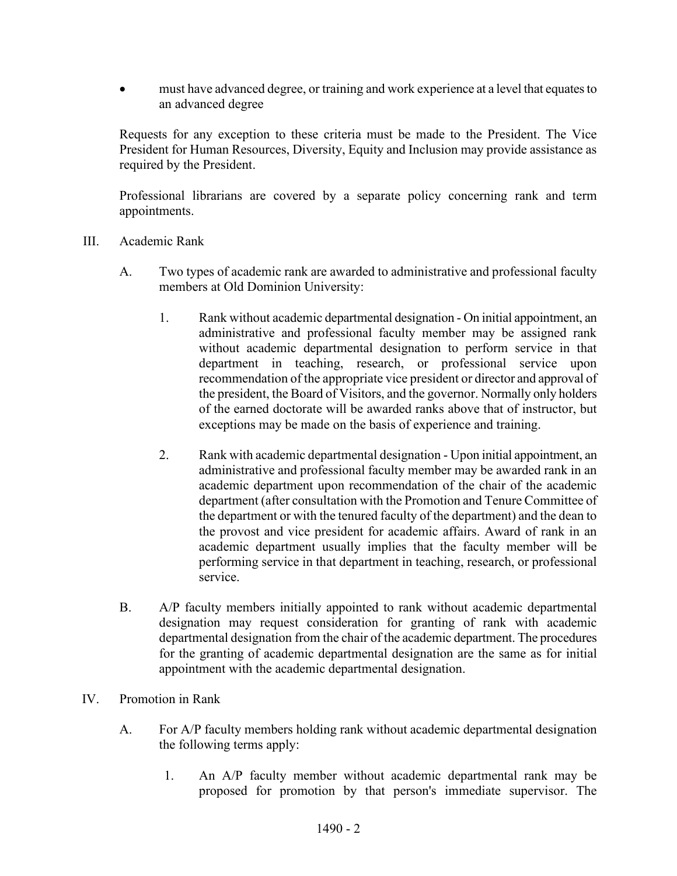must have advanced degree, or training and work experience at a level that equates to an advanced degree

Requests for any exception to these criteria must be made to the President. The Vice President for Human Resources, Diversity, Equity and Inclusion may provide assistance as required by the President.

Professional librarians are covered by a separate policy concerning rank and term appointments.

- III. Academic Rank
	- A. Two types of academic rank are awarded to administrative and professional faculty members at Old Dominion University:
		- 1. Rank without academic departmental designation On initial appointment, an administrative and professional faculty member may be assigned rank without academic departmental designation to perform service in that department in teaching, research, or professional service upon recommendation of the appropriate vice president or director and approval of the president, the Board of Visitors, and the governor. Normally only holders of the earned doctorate will be awarded ranks above that of instructor, but exceptions may be made on the basis of experience and training.
		- 2. Rank with academic departmental designation Upon initial appointment, an administrative and professional faculty member may be awarded rank in an academic department upon recommendation of the chair of the academic department (after consultation with the Promotion and Tenure Committee of the department or with the tenured faculty of the department) and the dean to the provost and vice president for academic affairs. Award of rank in an academic department usually implies that the faculty member will be performing service in that department in teaching, research, or professional service.
	- B. A/P faculty members initially appointed to rank without academic departmental designation may request consideration for granting of rank with academic departmental designation from the chair of the academic department. The procedures for the granting of academic departmental designation are the same as for initial appointment with the academic departmental designation.
- IV. Promotion in Rank
	- A. For A/P faculty members holding rank without academic departmental designation the following terms apply:
		- 1. An A/P faculty member without academic departmental rank may be proposed for promotion by that person's immediate supervisor. The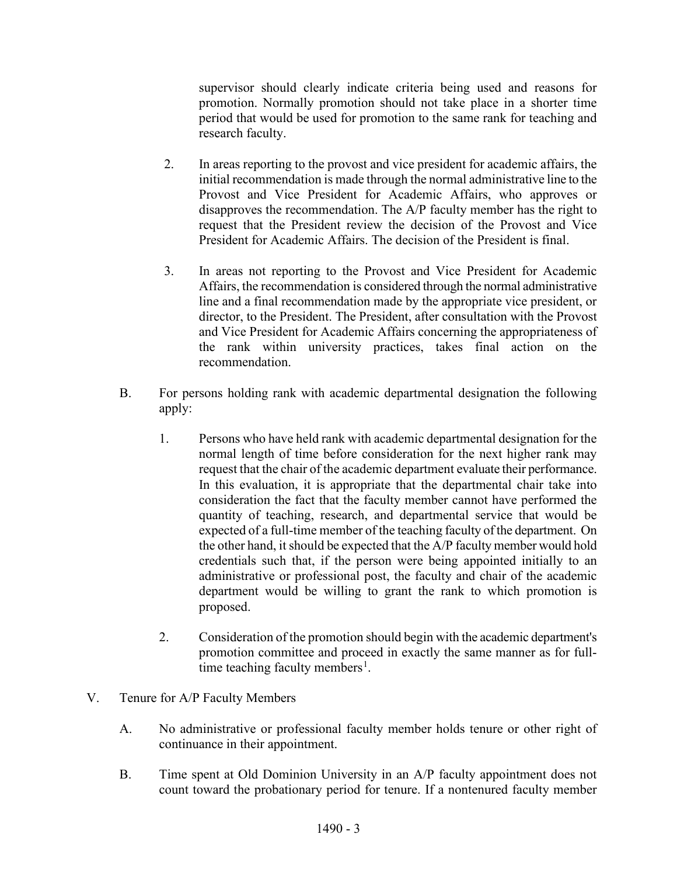supervisor should clearly indicate criteria being used and reasons for promotion. Normally promotion should not take place in a shorter time period that would be used for promotion to the same rank for teaching and research faculty.

- 2. In areas reporting to the provost and vice president for academic affairs, the initial recommendation is made through the normal administrative line to the Provost and Vice President for Academic Affairs, who approves or disapproves the recommendation. The A/P faculty member has the right to request that the President review the decision of the Provost and Vice President for Academic Affairs. The decision of the President is final.
- 3. In areas not reporting to the Provost and Vice President for Academic Affairs, the recommendation is considered through the normal administrative line and a final recommendation made by the appropriate vice president, or director, to the President. The President, after consultation with the Provost and Vice President for Academic Affairs concerning the appropriateness of the rank within university practices, takes final action on the recommendation.
- B. For persons holding rank with academic departmental designation the following apply:
	- 1. Persons who have held rank with academic departmental designation for the normal length of time before consideration for the next higher rank may request that the chair of the academic department evaluate their performance. In this evaluation, it is appropriate that the departmental chair take into consideration the fact that the faculty member cannot have performed the quantity of teaching, research, and departmental service that would be expected of a full-time member of the teaching faculty of the department. On the other hand, it should be expected that the A/P faculty member would hold credentials such that, if the person were being appointed initially to an administrative or professional post, the faculty and chair of the academic department would be willing to grant the rank to which promotion is proposed.
	- 2. Consideration of the promotion should begin with the academic department's promotion committee and proceed in exactly the same manner as for full-time teaching faculty members<sup>[1](#page-5-0)</sup>.
- V. Tenure for A/P Faculty Members
	- A. No administrative or professional faculty member holds tenure or other right of continuance in their appointment.
	- B. Time spent at Old Dominion University in an A/P faculty appointment does not count toward the probationary period for tenure. If a nontenured faculty member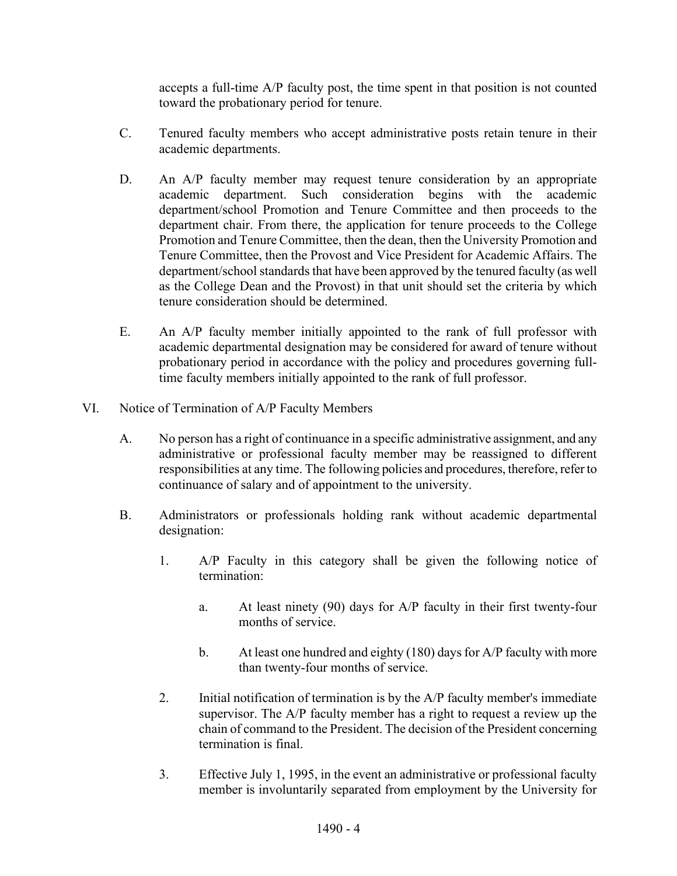accepts a full-time A/P faculty post, the time spent in that position is not counted toward the probationary period for tenure.

- C. Tenured faculty members who accept administrative posts retain tenure in their academic departments.
- D. An A/P faculty member may request tenure consideration by an appropriate academic department. Such consideration begins with the academic department/school Promotion and Tenure Committee and then proceeds to the department chair. From there, the application for tenure proceeds to the College Promotion and Tenure Committee, then the dean, then the University Promotion and Tenure Committee, then the Provost and Vice President for Academic Affairs. The department/school standards that have been approved by the tenured faculty (as well as the College Dean and the Provost) in that unit should set the criteria by which tenure consideration should be determined.
- E. An A/P faculty member initially appointed to the rank of full professor with academic departmental designation may be considered for award of tenure without probationary period in accordance with the policy and procedures governing fulltime faculty members initially appointed to the rank of full professor.
- VI. Notice of Termination of A/P Faculty Members
	- A. No person has a right of continuance in a specific administrative assignment, and any administrative or professional faculty member may be reassigned to different responsibilities at any time. The following policies and procedures, therefore, refer to continuance of salary and of appointment to the university.
	- B. Administrators or professionals holding rank without academic departmental designation:
		- 1. A/P Faculty in this category shall be given the following notice of termination:
			- a. At least ninety (90) days for A/P faculty in their first twenty-four months of service.
			- b. At least one hundred and eighty (180) days for A/P faculty with more than twenty-four months of service.
		- 2. Initial notification of termination is by the A/P faculty member's immediate supervisor. The A/P faculty member has a right to request a review up the chain of command to the President. The decision of the President concerning termination is final.
		- 3. Effective July 1, 1995, in the event an administrative or professional faculty member is involuntarily separated from employment by the University for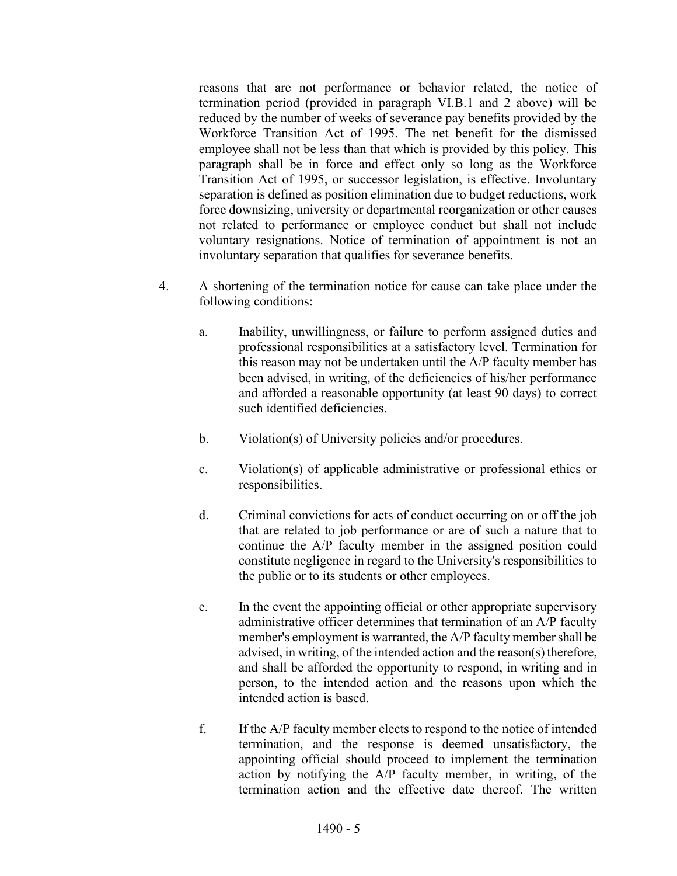reasons that are not performance or behavior related, the notice of termination period (provided in paragraph VI.B.1 and 2 above) will be reduced by the number of weeks of severance pay benefits provided by the Workforce Transition Act of 1995. The net benefit for the dismissed employee shall not be less than that which is provided by this policy. This paragraph shall be in force and effect only so long as the Workforce Transition Act of 1995, or successor legislation, is effective. Involuntary separation is defined as position elimination due to budget reductions, work force downsizing, university or departmental reorganization or other causes not related to performance or employee conduct but shall not include voluntary resignations. Notice of termination of appointment is not an involuntary separation that qualifies for severance benefits.

- 4. A shortening of the termination notice for cause can take place under the following conditions:
	- a. Inability, unwillingness, or failure to perform assigned duties and professional responsibilities at a satisfactory level. Termination for this reason may not be undertaken until the A/P faculty member has been advised, in writing, of the deficiencies of his/her performance and afforded a reasonable opportunity (at least 90 days) to correct such identified deficiencies.
	- b. Violation(s) of University policies and/or procedures.
	- c. Violation(s) of applicable administrative or professional ethics or responsibilities.
	- d. Criminal convictions for acts of conduct occurring on or off the job that are related to job performance or are of such a nature that to continue the A/P faculty member in the assigned position could constitute negligence in regard to the University's responsibilities to the public or to its students or other employees.
	- e. In the event the appointing official or other appropriate supervisory administrative officer determines that termination of an A/P faculty member's employment is warranted, the A/P faculty member shall be advised, in writing, of the intended action and the reason(s) therefore, and shall be afforded the opportunity to respond, in writing and in person, to the intended action and the reasons upon which the intended action is based.
	- f. If the A/P faculty member elects to respond to the notice of intended termination, and the response is deemed unsatisfactory, the appointing official should proceed to implement the termination action by notifying the A/P faculty member, in writing, of the termination action and the effective date thereof. The written